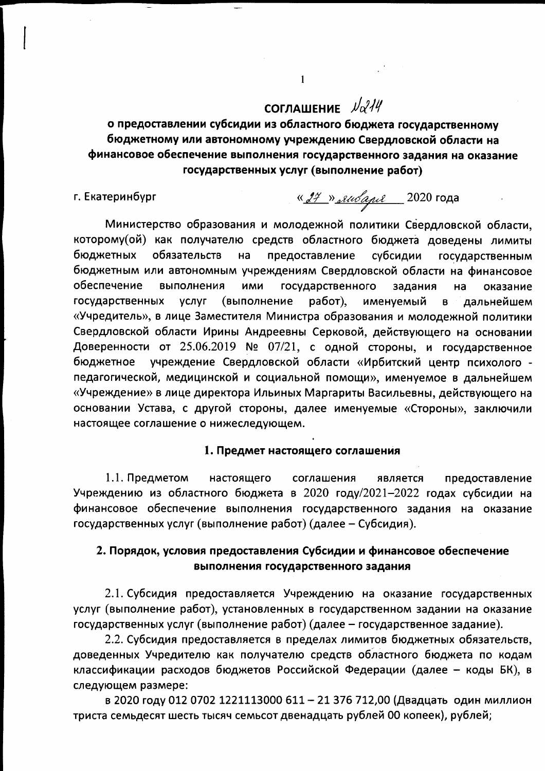# СОГЛАШЕНИЕ  $\sqrt{\alpha^2/4}$

о предоставлении субсидии из областного бюджета государственному бюджетному или автономному учреждению Свердловской области на финансовое обеспечение выполнения государственного задания на оказание государственных услуг (выполнение работ)

 $\mathbf{1}$ 

г. Екатеринбург

« 27 » либаря 2020 года

Министерство образования и молодежной политики Свердловской области, которому(ой) как получателю средств областного бюджета доведены лимиты бюджетных обязательств на предоставление субсидии государственным бюджетным или автономным учреждениям Свердловской области на финансовое обеспечение выполнения ИМИ государственного задания на оказание государственных **VCЛVГ** (выполнение работ), именуемый дальнейшем  $\mathbf{B}$ «Учредитель», в лице Заместителя Министра образования и молодежной политики Свердловской области Ирины Андреевны Серковой, действующего на основании Доверенности от 25.06.2019 № 07/21, с одной стороны, и государственное учреждение Свердловской области «Ирбитский центр психолого бюджетное педагогической, медицинской и социальной помощи», именуемое в дальнейшем «Учреждение» в лице директора Ильиных Маргариты Васильевны, действующего на основании Устава, с другой стороны, далее именуемые «Стороны», заключили настоящее соглашение о нижеследующем.

### 1. Предмет настоящего соглашения

1.1. Предметом настоящего соглашения является предоставление Учреждению из областного бюджета в 2020 году/2021-2022 годах субсидии на финансовое обеспечение выполнения государственного задания на оказание государственных услуг (выполнение работ) (далее - Субсидия).

### 2. Порядок, условия предоставления Субсидии и финансовое обеспечение выполнения государственного задания

2.1. Субсидия предоставляется Учреждению на оказание государственных услуг (выполнение работ), установленных в государственном задании на оказание государственных услуг (выполнение работ) (далее - государственное задание).

2.2. Субсидия предоставляется в пределах лимитов бюджетных обязательств, доведенных Учредителю как получателю средств областного бюджета по кодам классификации расходов бюджетов Российской Федерации (далее - коды БК), в следующем размере:

в 2020 году 012 0702 1221113000 611 - 21 376 712,00 (Двадцать один миллион триста семьдесят шесть тысяч семьсот двенадцать рублей 00 копеек), рублей;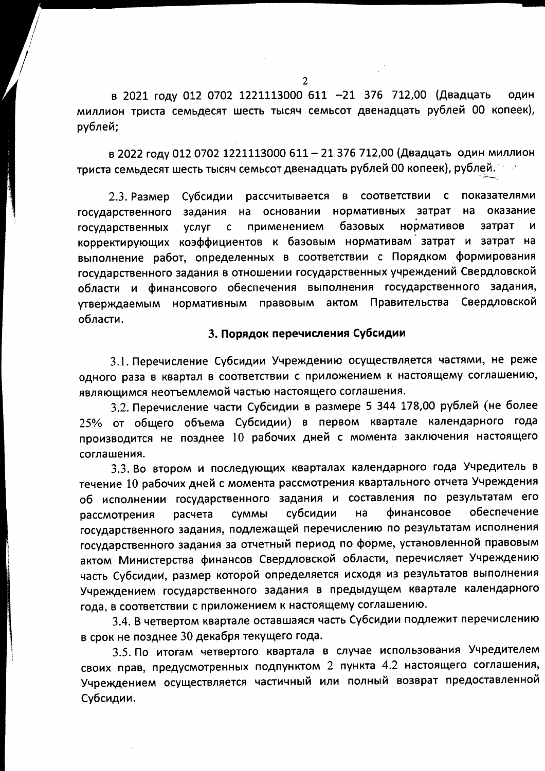в 2021 году 012 0702 1221113000 611 -21 376 712,00 (Двадцать ОДИН миллион триста семьдесят шесть тысяч семьсот двенадцать рублей 00 копеек), рублей:

в 2022 году 012 0702 1221113000 611 - 21 376 712,00 (Двадцать один миллион триста семьдесят шесть тысяч семьсот двенадцать рублей 00 копеек), рублей.

2.3. Размер Субсидии рассчитывается в соответствии с показателями государственного задания на основании нормативных затрат на оказание нормативов применением базовых затрат государственных **VCЛVГ**  $\mathbf{c}$ N корректирующих коэффициентов к базовым нормативам затрат и затрат на выполнение работ, определенных в соответствии с Порядком формирования государственного задания в отношении государственных учреждений Свердловской области и финансового обеспечения выполнения государственного задания, актом Правительства Свердловской утверждаемым нормативным правовым области.

### 3. Порядок перечисления Субсидии

3.1. Перечисление Субсидии Учреждению осуществляется частями, не реже одного раза в квартал в соответствии с приложением к настоящему соглашению, являющимся неотъемлемой частью настоящего соглашения.

3.2. Перечисление части Субсидии в размере 5 344 178,00 рублей (не более 25% от общего объема Субсидии) в первом квартале календарного года производится не позднее 10 рабочих дней с момента заключения настоящего соглашения.

3.3. Во втором и последующих кварталах календарного года Учредитель в течение 10 рабочих дней с момента рассмотрения квартального отчета Учреждения об исполнении государственного задания и составления по результатам его финансовое обеспечение субсидии на расчета **СVMMЫ** рассмотрения государственного задания, подлежащей перечислению по результатам исполнения государственного задания за отчетный период по форме, установленной правовым актом Министерства финансов Свердловской области, перечисляет Учреждению часть Субсидии, размер которой определяется исходя из результатов выполнения Учреждением государственного задания в предыдущем квартале календарного года, в соответствии с приложением к настоящему соглашению.

3.4. В четвертом квартале оставшаяся часть Субсидии подлежит перечислению в срок не позднее 30 декабря текущего года.

3.5. По итогам четвертого квартала в случае использования Учредителем своих прав, предусмотренных подпунктом 2 пункта 4.2 настоящего соглашения, Учреждением осуществляется частичный или полный возврат предоставленной Субсидии.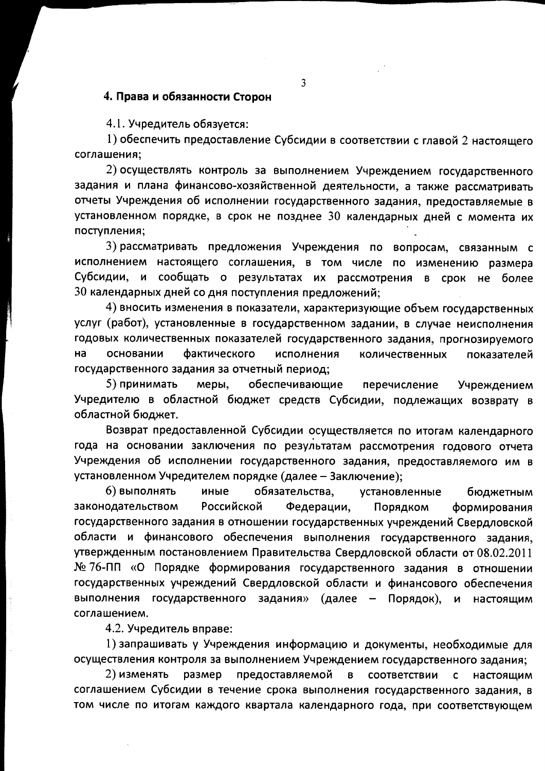### 4. Права и обязанности Сторон

4.1. Учредитель обязуется:

1) обеспечить предоставление Субсидии в соответствии с главой 2 настоящего соглашения;

2) осуществлять контроль за выполнением Учреждением государственного задания и плана финансово-хозяйственной деятельности, а также рассматривать отчеты Учреждения об исполнении государственного задания, предоставляемые в установленном порядке, в срок не позднее 30 календарных дней с момента их поступления;

3) рассматривать предложения Учреждения по вопросам, связанным с исполнением настоящего соглашения, в том числе по изменению размера Субсидии, и сообщать о результатах их рассмотрения в срок не более 30 календарных дней со дня поступления предложений;

4) вносить изменения в показатели, характеризующие объем государственных услуг (работ), установленные в государственном задании, в случае неисполнения годовых количественных показателей государственного задания, прогнозируемого на основании фактического исполнения количественных показателей государственного задания за отчетный период;

обеспечивающие 5) принимать Учреждением меры, перечисление Учредителю в областной бюджет средств Субсидии, подлежащих возврату в областной бюджет.

Возврат предоставленной Субсидии осуществляется по итогам календарного года на основании заключения по результатам рассмотрения годового отчета Учреждения об исполнении государственного задания, предоставляемого им в установленном Учредителем порядке (далее - Заключение);

6) выполнять иные обязательства, установленные бюджетным законодательством Российской Федерации, Порядком формирования государственного задания в отношении государственных учреждений Свердловской области и финансового обеспечения выполнения государственного задания, утвержденным постановлением Правительства Свердловской области от 08.02.2011 № 76-ПП «О Порядке формирования государственного задания в отношении государственных учреждений Свердловской области и финансового обеспечения выполнения государственного задания» (далее - Порядок), и настоящим соглашением.

4.2. Учредитель вправе:

1) запрашивать у Учреждения информацию и документы, необходимые для осуществления контроля за выполнением Учреждением государственного задания;

2) изменять размер предоставляемой  $\mathbf{B}$ соответствии  $\mathsf{C}$ настоящим соглашением Субсидии в течение срока выполнения государственного задания, в том числе по итогам каждого квартала календарного года, при соответствующем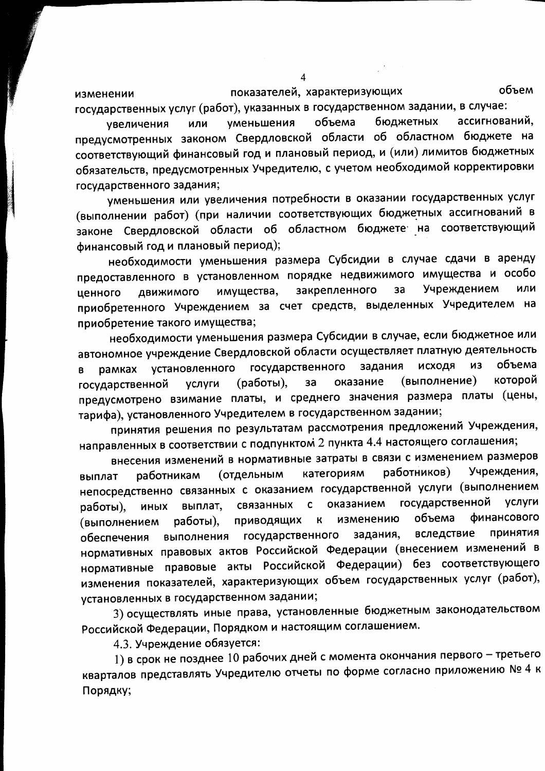объем показателей, характеризующих изменении государственных услуг (работ), указанных в государственном задании, в случае:

ассигнований, бюджетных объема **уменьшения** увеличения или предусмотренных законом Свердловской области об областном бюджете на соответствующий финансовый год и плановый период, и (или) лимитов бюджетных обязательств, предусмотренных Учредителю, с учетом необходимой корректировки государственного задания;

уменьшения или увеличения потребности в оказании государственных услуг (выполнении работ) (при наличии соответствующих бюджетных ассигнований в законе Свердловской области об областном бюджете на соответствующий финансовый год и плановый период);

необходимости уменьшения размера Субсидии в случае сдачи в аренду предоставленного в установленном порядке недвижимого имущества и особо Учреждением или закрепленного за имущества, движимого ценного приобретенного Учреждением за счет средств, выделенных Учредителем на приобретение такого имущества;

необходимости уменьшения размера Субсидии в случае, если бюджетное или автономное учреждение Свердловской области осуществляет платную деятельность государственного задания исходя И3 объема установленного рамках B которой (выполнение) оказание (работы), государственной за **УСЛУГИ** предусмотрено взимание платы, и среднего значения размера платы (цены, тарифа), установленного Учредителем в государственном задании;

принятия решения по результатам рассмотрения предложений Учреждения, направленных в соответствии с подпунктом 2 пункта 4.4 настоящего соглашения;

внесения изменений в нормативные затраты в связи с изменением размеров Учреждения, работников) категориям (отдельным работникам выплат непосредственно связанных с оказанием государственной услуги (выполнением государственной услуги связанных оказанием выплат,  $\mathbf{C}$ работы). **ИНЫХ** финансового объема изменению приводящих  $\overline{\mathsf{K}}$ работы), (выполнением вследствие принятия государственного задания, выполнения обеспечения нормативных правовых актов Российской Федерации (внесением изменений в нормативные правовые акты Российской Федерации) без соответствующего изменения показателей, характеризующих объем государственных услуг (работ), установленных в государственном задании;

3) осуществлять иные права, установленные бюджетным законодательством Российской Федерации, Порядком и настоящим соглашением.

4.3. Учреждение обязуется:

1) в срок не позднее 10 рабочих дней с момента окончания первого - третьего кварталов представлять Учредителю отчеты по форме согласно приложению № 4 к Порядку;

 $\boldsymbol{\Delta}$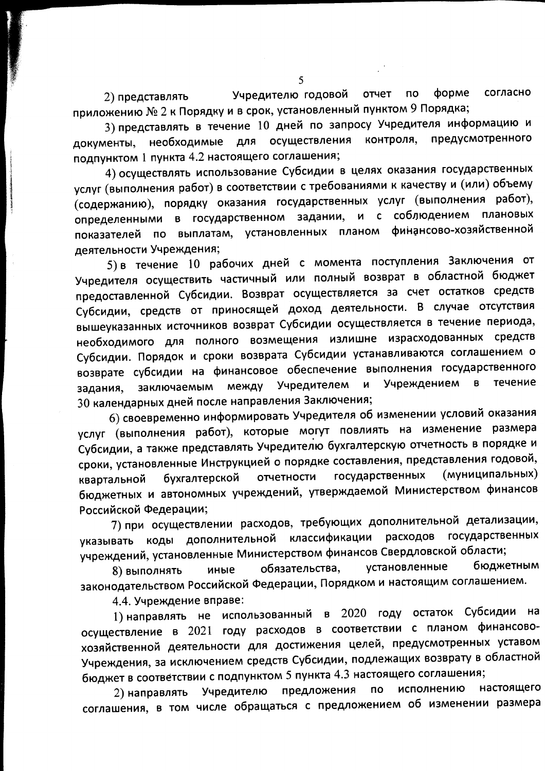Учредителю годовой по форме согласно отчет 2) представлять приложению № 2 к Порядку и в срок, установленный пунктом 9 Порядка;

3) представлять в течение 10 дней по запросу Учредителя информацию и необходимые для осуществления контроля. предусмотренного документы. подпунктом 1 пункта 4.2 настоящего соглашения;

4) осуществлять использование Субсидии в целях оказания государственных услуг (выполнения работ) в соответствии с требованиями к качеству и (или) объему (содержанию), порядку оказания государственных услуг (выполнения работ), определенными в государственном задании, и с соблюдением плановых финансово-хозяйственной показателей по выплатам, установленных планом деятельности Учреждения;

5) в течение 10 рабочих дней с момента поступления Заключения от Учредителя осуществить частичный или полный возврат в областной бюджет предоставленной Субсидии. Возврат осуществляется за счет остатков средств Субсидии, средств от приносящей доход деятельности. В случае отсутствия вышеуказанных источников возврат Субсидии осуществляется в течение периода, необходимого для полного возмещения излишне израсходованных средств Субсидии. Порядок и сроки возврата Субсидии устанавливаются соглашением о возврате субсидии на финансовое обеспечение выполнения государственного течение заключаемым между Учредителем Учреждением  $B$ И задания, 30 календарных дней после направления Заключения;

6) своевременно информировать Учредителя об изменении условий оказания услуг (выполнения работ), которые могут повлиять на изменение размера Субсидии, а также представлять Учредителю бухгалтерскую отчетность в порядке и сроки, установленные Инструкцией о порядке составления, представления годовой, (муниципальных) государственных отчетности бухгалтерской квартальной бюджетных и автономных учреждений, утверждаемой Министерством финансов Российской Федерации;

7) при осуществлении расходов, требующих дополнительной детализации, коды дополнительной классификации расходов государственных указывать учреждений, установленные Министерством финансов Свердловской области;

установленные бюджетным обязательства, иные 8) выполнять законодательством Российской Федерации, Порядком и настоящим соглашением.

4.4. Учреждение вправе:

1) направлять не использованный в 2020 году остаток Субсидии на осуществление в 2021 году расходов в соответствии с планом финансовохозяйственной деятельности для достижения целей, предусмотренных уставом Учреждения, за исключением средств Субсидии, подлежащих возврату в областной бюджет в соответствии с подпунктом 5 пункта 4.3 настоящего соглашения;

2) направлять Учредителю предложения настоящего по исполнению соглашения, в том числе обращаться с предложением об изменении размера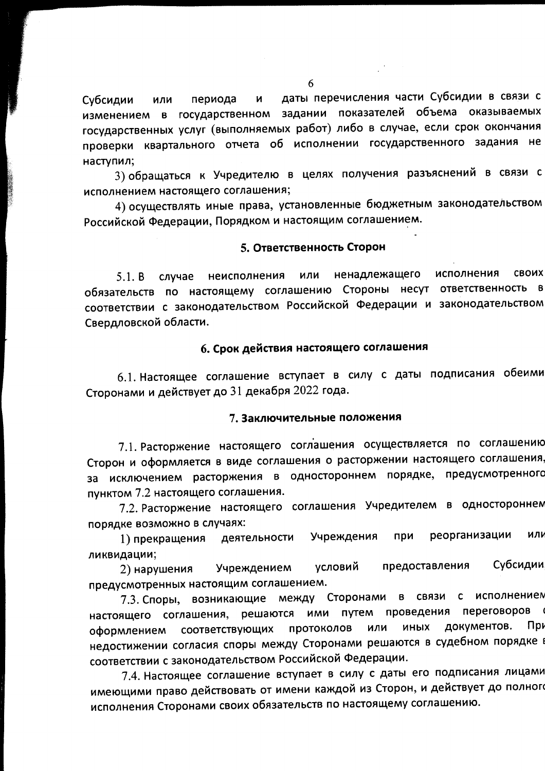даты перечисления части Субсидии в связи с Субсидии  $\mathbf{M}$ или периода изменением в государственном задании показателей объема оказываемых государственных услуг (выполняемых работ) либо в случае, если срок окончания проверки квартального отчета об исполнении государственного задания не наступил;

3) обращаться к Учредителю в целях получения разъяснений в связи с исполнением настоящего соглашения;

4) осуществлять иные права, установленные бюджетным законодательством Российской Федерации, Порядком и настоящим соглашением.

### 5. Ответственность Сторон

СВОИХ исполнения неисполнения или ненадлежащего  $5.1. B$ случае обязательств по настоящему соглашению Стороны несут ответственность в соответствии с законодательством Российской Федерации и законодательством Свердловской области.

### 6. Срок действия настоящего соглашения

6.1. Настоящее соглашение вступает в силу с даты подписания обеими Сторонами и действует до 31 декабря 2022 года.

### 7. Заключительные положения

7.1. Расторжение настоящего соглашения осуществляется по соглашению Сторон и оформляется в виде соглашения о расторжении настоящего соглашения, за исключением расторжения в одностороннем порядке, предусмотренного пунктом 7.2 настоящего соглашения.

7.2. Расторжение настоящего соглашения Учредителем в одностороннем порядке возможно в случаях:

реорганизации при ИЛИ 1) прекращения деятельности Учреждения ликвидации;

Субсидии предоставления условий Учреждением 2) нарушения предусмотренных настоящим соглашением.

7.3. Споры, возникающие между Сторонами в связи с исполнением ими путем проведения переговоров настоящего соглашения, решаются документов.  $\prod$ pv протоколов или **ИНЫХ** оформлением соответствующих недостижении согласия споры между Сторонами решаются в судебном порядке в соответствии с законодательством Российской Федерации.

7.4. Настоящее соглашение вступает в силу с даты его подписания лицами имеющими право действовать от имени каждой из Сторон, и действует до полного исполнения Сторонами своих обязательств по настоящему соглашению.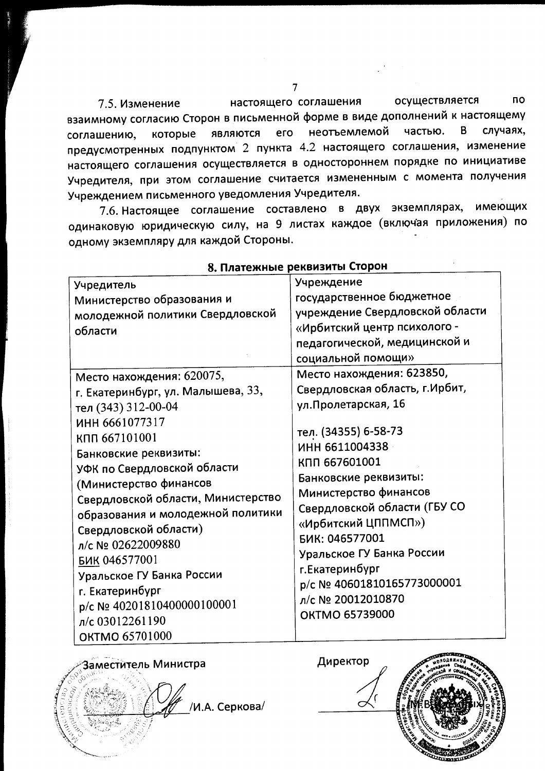настоящего соглашения осуществляется **no** 7.5. Изменение взаимному согласию Сторон в письменной форме в виде дополнений к настоящему являются его неотъемлемой частью. B случаях, соглашению, которые предусмотренных подпунктом 2 пункта 4.2 настоящего соглашения, изменение настоящего соглашения осуществляется в одностороннем порядке по инициативе Учредителя, при этом соглашение считается измененным с момента получения Учреждением письменного уведомления Учредителя.

7.6. Настоящее соглашение составлено в двух экземплярах, имеющих одинаковую юридическую силу, на 9 листах каждое (включая приложения) по одному экземпляру для каждой Стороны.

| Учредитель<br>Министерство образования и<br>молодежной политики Свердловской<br>области<br>Место нахождения: 620075,<br>г. Екатеринбург, ул. Малышева, 33,<br>тел (343) 312-00-04<br>ИНН 6661077317<br>КПП 667101001<br>Банковские реквизиты:                                                                       | Учреждение<br>государственное бюджетное<br>учреждение Свердловской области<br>«Ирбитский центр психолого -<br>педагогической, медицинской и<br>социальной помощи»<br>Место нахождения: 623850,<br>Свердловская область, г. Ирбит,<br>ул. Пролетарская, 16<br>тел. (34355) 6-58-73<br>ИНН 6611004338<br>КПП 667601001<br>Банковские реквизиты:<br>Министерство финансов<br>Свердловской области (ГБУ СО<br>«Ирбитский ЦППМСП»)<br>БИК: 046577001<br>Уральское ГУ Банка России<br>г. Екатеринбург<br>p/c Nº 40601810165773000001<br>л/с № 20012010870<br><b>OKTMO 65739000</b> |
|---------------------------------------------------------------------------------------------------------------------------------------------------------------------------------------------------------------------------------------------------------------------------------------------------------------------|------------------------------------------------------------------------------------------------------------------------------------------------------------------------------------------------------------------------------------------------------------------------------------------------------------------------------------------------------------------------------------------------------------------------------------------------------------------------------------------------------------------------------------------------------------------------------|
| УФК по Свердловской области<br>(Министерство финансов<br>Свердловской области, Министерство<br>образования и молодежной политики<br>Свердловской области)<br>л/с № 02622009880<br>БИК 046577001<br>Уральское ГУ Банка России<br>г. Екатеринбург<br>p/c Nº 40201810400000100001<br>л/с 03012261190<br>OKTMO 65701000 |                                                                                                                                                                                                                                                                                                                                                                                                                                                                                                                                                                              |

8. Платежные реквизиты Сторон



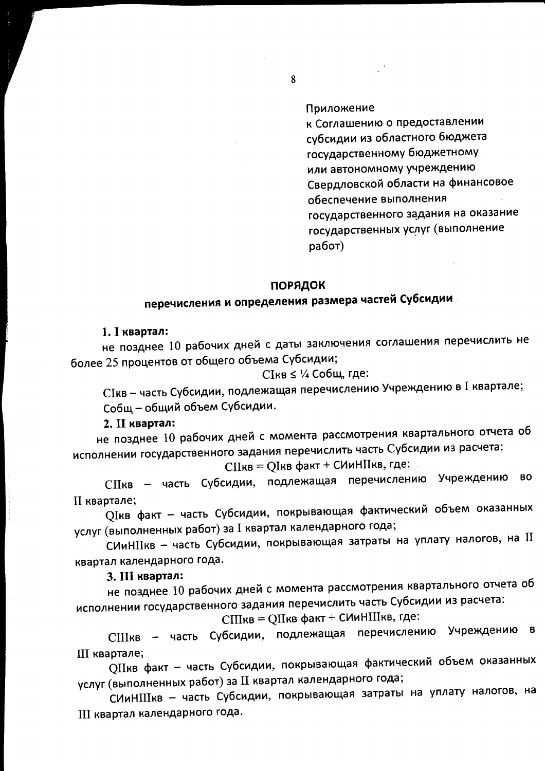### Приложение

к Соглашению о предоставлении субсидии из областного бюджета государственному бюджетному или автономному учреждению Свердловской области на финансовое обеспечение выполнения государственного задания на оказание государственных услуг (выполнение работ)

### ПОРЯДОК

# перечисления и определения размера частей Субсидии

#### 1. І квартал:

не позднее 10 рабочих дней с даты заключения соглашения перечислить не более 25 процентов от общего объема Субсидии;

СІкв ≤ 1/4 Собщ, где:

СІкв - часть Субсидии, подлежащая перечислению Учреждению в I квартале; Собщ - общий объем Субсидии.

### 2. II квартал:

не позднее 10 рабочих дней с момента рассмотрения квартального отчета об исполнении государственного задания перечислить часть Субсидии из расчета:

СПкв = QIкв факт + СИиНПкв, где:

СПкв - часть Субсидии, подлежащая перечислению Учреждению **BO** II квартале;

QIкв факт - часть Субсидии, покрывающая фактический объем оказанных услуг (выполненных работ) за I квартал календарного года;

СИиНПкв - часть Субсидии, покрывающая затраты на уплату налогов, на II квартал календарного года.

#### 3. III квартал:

не позднее 10 рабочих дней с момента рассмотрения квартального отчета об исполнении государственного задания перечислить часть Субсидии из расчета:

СШкв = QШкв факт + СИиНШкв, где:

СШкв - часть Субсидии, подлежащая перечислению Учреждению в III квартале;

QIIкв факт - часть Субсидии, покрывающая фактический объем оказанных услуг (выполненных работ) за II квартал календарного года;

СИиНШкв - часть Субсидии, покрывающая затраты на уплату налогов, на III квартал календарного года.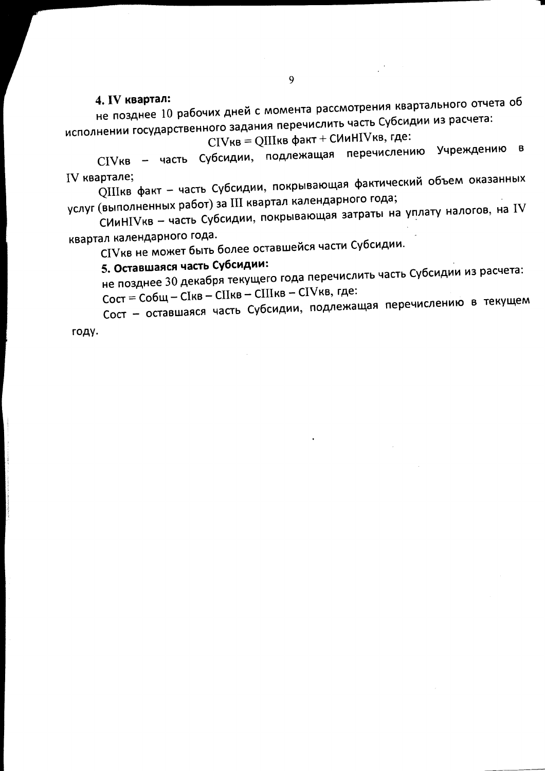### 4. IV квартал:

не позднее 10 рабочих дней с момента рассмотрения квартального отчета об исполнении государственного задания перечислить часть Субсидии из расчета:

CIVкв = QIIIкв факт + СИиНIVкв, где:

СIVкв - часть Субсидии, подлежащая перечислению Учреждению в IV квартале;

QIIIкв факт - часть Субсидии, покрывающая фактический объем оказанных услуг (выполненных работ) за III квартал календарного года;

СИиНIVкв - часть Субсидии, покрывающая затраты на уплату налогов, на IV квартал календарного года.

СIVкв не может быть более оставшейся части Субсидии.

## 5. Оставшаяся часть Субсидии:

не позднее 30 декабря текущего года перечислить часть Субсидии из расчета: Сост = Собщ - СІкв - СІІкв - СІІІкв - СІVкв, где:

Сост - оставшаяся часть Субсидии, подлежащая перечислению в текущем

году.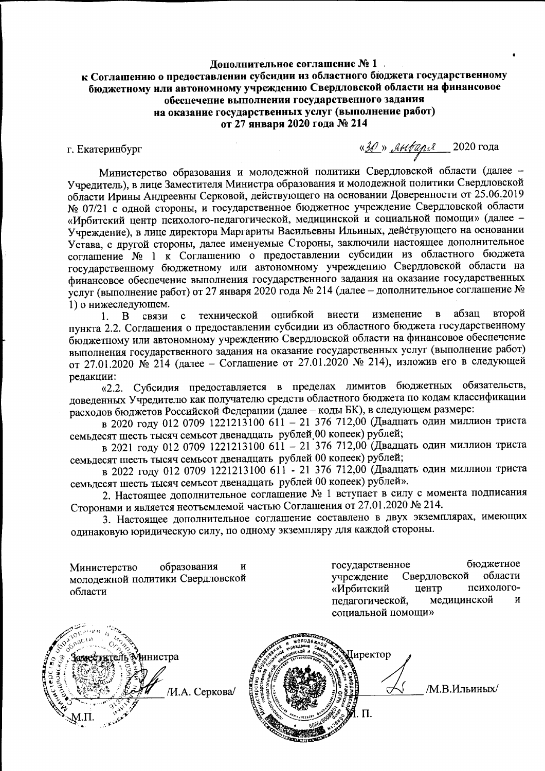### Дополнительное соглашение № 1 к Соглашению о предоставлении субсидии из областного бюджета государственному бюджетному или автономному учреждению Свердловской области на финансовое обеспечение выполнения государственного задания на оказание государственных услуг (выполнение работ) от 27 января 2020 года № 214

г. Екатеринбург

«ЗО» января 2020 года

Министерство образования и молодежной политики Свердловской области (далее -Учредитель), в лице Заместителя Министра образования и молодежной политики Свердловской области Ирины Андреевны Серковой, действующего на основании Доверенности от 25.06.2019 № 07/21 с одной стороны, и государственное бюджетное учреждение Свердловской области «Ирбитский центр психолого-педагогической, медицинской и социальной помощи» (далее -Учреждение), в лице директора Маргариты Васильевны Ильиных, действующего на основании Устава, с другой стороны, далее именуемые Стороны, заключили настоящее дополнительное соглашение № 1 к Соглашению о предоставлении субсидии из областного бюджета государственному бюджетному или автономному учреждению Свердловской области на финансовое обеспечение выполнения государственного задания на оказание государственных услуг (выполнение работ) от 27 января 2020 года № 214 (далее - дополнительное соглашение № 1) о нижеследующем.

абзац второй ошибкой внести изменение  $\overline{B}$ технической 1.  $\mathbf{B}$ связи  $\mathbf c$ пункта 2.2. Соглашения о предоставлении субсидии из областного бюджета государственному бюджетному или автономному учреждению Свердловской области на финансовое обеспечение выполнения государственного задания на оказание государственных услуг (выполнение работ) от 27.01.2020 № 214 (далее - Соглашение от 27.01.2020 № 214), изложив его в следующей редакции:

«2.2. Субсидия предоставляется в пределах лимитов бюджетных обязательств, доведенных Учредителю как получателю средств областного бюджета по кодам классификации расходов бюджетов Российской Федерации (далее - коды БК), в следующем размере:

в 2020 году 012 0709 1221213100 611 - 21 376 712,00 (Двадцать один миллион триста семьдесят шесть тысяч семьсот двенадцать рублей 00 копеек) рублей;

в 2021 году 012 0709 1221213100 611 - 21 376 712,00 (Двадцать один миллион триста семьдесят шесть тысяч семьсот двенадцать рублей 00 копеек) рублей;

в 2022 году 012 0709 1221213100 611 - 21 376 712,00 (Двадцать один миллион триста семьдесят шесть тысяч семьсот двенадцать рублей 00 копеек) рублей».

2. Настоящее дополнительное соглашение № 1 вступает в силу с момента подписания Сторонами и является неотъемлемой частью Соглашения от 27.01.2020 № 214.

3. Настоящее дополнительное соглашение составлено в двух экземплярах, имеющих одинаковую юридическую силу, по одному экземпляру для каждой стороны.

образования Министерство  $\overline{M}$ молодежной политики Свердловской области

бюджетное государственное Свердловской области учреждение центр психолого-«Ирбитский медицинской педагогической,  $\overline{u}$ сониальной помощи»



иректор М.В.Ильиных/  $\Pi$